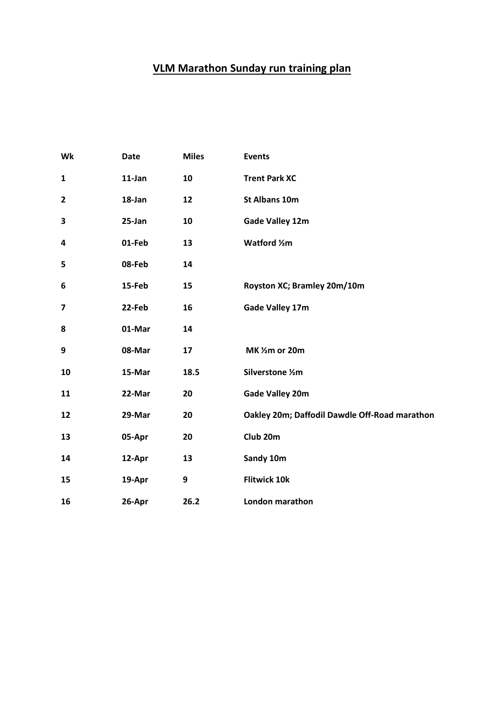# **VLM Marathon Sunday run training plan**

| Wk                      | <b>Date</b> | <b>Miles</b> | <b>Events</b>                                 |
|-------------------------|-------------|--------------|-----------------------------------------------|
| $\mathbf{1}$            | 11-Jan      | 10           | <b>Trent Park XC</b>                          |
| $\overline{\mathbf{2}}$ | 18-Jan      | 12           | <b>St Albans 10m</b>                          |
| 3                       | 25-Jan      | 10           | <b>Gade Valley 12m</b>                        |
| 4                       | 01-Feb      | 13           | Watford 1/2m                                  |
| 5                       | 08-Feb      | 14           |                                               |
| 6                       | 15-Feb      | 15           | Royston XC; Bramley 20m/10m                   |
| $\overline{\mathbf{z}}$ | 22-Feb      | 16           | <b>Gade Valley 17m</b>                        |
| 8                       | 01-Mar      | 14           |                                               |
| 9                       | 08-Mar      | 17           | MK 1/2m or 20m                                |
| 10                      | 15-Mar      | 18.5         | Silverstone 1/2m                              |
| 11                      | 22-Mar      | 20           | <b>Gade Valley 20m</b>                        |
| 12                      | 29-Mar      | 20           | Oakley 20m; Daffodil Dawdle Off-Road marathon |
| 13                      | 05-Apr      | 20           | Club <sub>20m</sub>                           |
| 14                      | 12-Apr      | 13           | Sandy 10m                                     |
| 15                      | 19-Apr      | 9            | <b>Flitwick 10k</b>                           |
| 16                      | 26-Apr      | 26.2         | London marathon                               |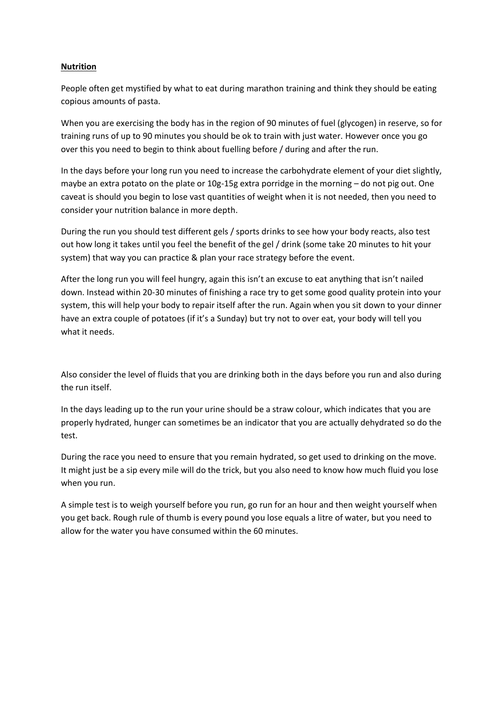## **Nutrition**

People often get mystified by what to eat during marathon training and think they should be eating copious amounts of pasta.

When you are exercising the body has in the region of 90 minutes of fuel (glycogen) in reserve, so for training runs of up to 90 minutes you should be ok to train with just water. However once you go over this you need to begin to think about fuelling before / during and after the run.

In the days before your long run you need to increase the carbohydrate element of your diet slightly, maybe an extra potato on the plate or 10g-15g extra porridge in the morning – do not pig out. One caveat is should you begin to lose vast quantities of weight when it is not needed, then you need to consider your nutrition balance in more depth.

During the run you should test different gels / sports drinks to see how your body reacts, also test out how long it takes until you feel the benefit of the gel / drink (some take 20 minutes to hit your system) that way you can practice & plan your race strategy before the event.

After the long run you will feel hungry, again this isn't an excuse to eat anything that isn't nailed down. Instead within 20-30 minutes of finishing a race try to get some good quality protein into your system, this will help your body to repair itself after the run. Again when you sit down to your dinner have an extra couple of potatoes (if it's a Sunday) but try not to over eat, your body will tell you what it needs.

Also consider the level of fluids that you are drinking both in the days before you run and also during the run itself.

In the days leading up to the run your urine should be a straw colour, which indicates that you are properly hydrated, hunger can sometimes be an indicator that you are actually dehydrated so do the test.

During the race you need to ensure that you remain hydrated, so get used to drinking on the move. It might just be a sip every mile will do the trick, but you also need to know how much fluid you lose when you run.

A simple test is to weigh yourself before you run, go run for an hour and then weight yourself when you get back. Rough rule of thumb is every pound you lose equals a litre of water, but you need to allow for the water you have consumed within the 60 minutes.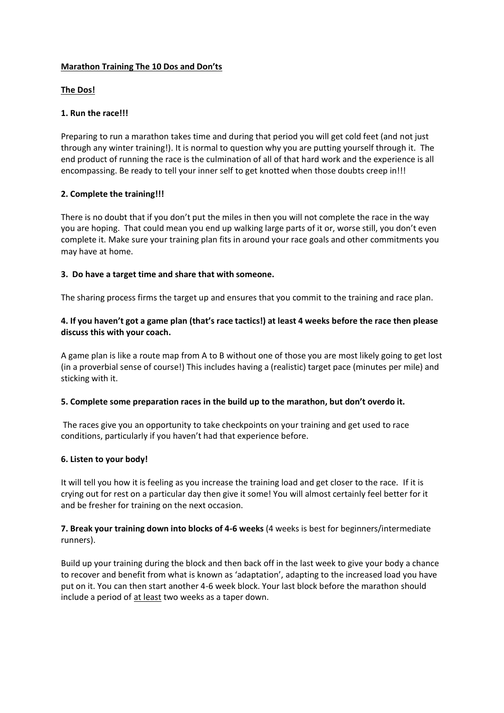# **Marathon Training The 10 Dos and Don'ts**

## **The Dos!**

# **1. Run the race!!!**

Preparing to run a marathon takes time and during that period you will get cold feet (and not just through any winter training!). It is normal to question why you are putting yourself through it. The end product of running the race is the culmination of all of that hard work and the experience is all encompassing. Be ready to tell your inner self to get knotted when those doubts creep in!!!

# **2. Complete the training!!!**

There is no doubt that if you don't put the miles in then you will not complete the race in the way you are hoping. That could mean you end up walking large parts of it or, worse still, you don't even complete it. Make sure your training plan fits in around your race goals and other commitments you may have at home.

# **3. Do have a target time and share that with someone.**

The sharing process firms the target up and ensures that you commit to the training and race plan.

# **4. If you haven't got a game plan (that's race tactics!) at least 4 weeks before the race then please discuss this with your coach.**

A game plan is like a route map from A to B without one of those you are most likely going to get lost (in a proverbial sense of course!) This includes having a (realistic) target pace (minutes per mile) and sticking with it.

#### **5. Complete some preparation races in the build up to the marathon, but don't overdo it.**

The races give you an opportunity to take checkpoints on your training and get used to race conditions, particularly if you haven't had that experience before.

#### **6. Listen to your body!**

It will tell you how it is feeling as you increase the training load and get closer to the race. If it is crying out for rest on a particular day then give it some! You will almost certainly feel better for it and be fresher for training on the next occasion.

**7. Break your training down into blocks of 4-6 weeks** (4 weeks is best for beginners/intermediate runners).

Build up your training during the block and then back off in the last week to give your body a chance to recover and benefit from what is known as 'adaptation', adapting to the increased load you have put on it. You can then start another 4-6 week block. Your last block before the marathon should include a period of at least two weeks as a taper down.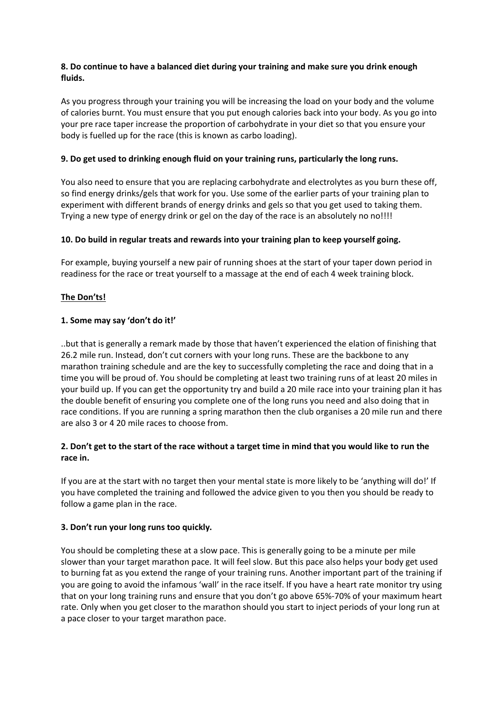# **8. Do continue to have a balanced diet during your training and make sure you drink enough fluids.**

As you progress through your training you will be increasing the load on your body and the volume of calories burnt. You must ensure that you put enough calories back into your body. As you go into your pre race taper increase the proportion of carbohydrate in your diet so that you ensure your body is fuelled up for the race (this is known as carbo loading).

# **9. Do get used to drinking enough fluid on your training runs, particularly the long runs.**

You also need to ensure that you are replacing carbohydrate and electrolytes as you burn these off, so find energy drinks/gels that work for you. Use some of the earlier parts of your training plan to experiment with different brands of energy drinks and gels so that you get used to taking them. Trying a new type of energy drink or gel on the day of the race is an absolutely no no!!!!

#### **10. Do build in regular treats and rewards into your training plan to keep yourself going.**

For example, buying yourself a new pair of running shoes at the start of your taper down period in readiness for the race or treat yourself to a massage at the end of each 4 week training block.

# **The Don'ts!**

# **1. Some may say 'don't do it!'**

..but that is generally a remark made by those that haven't experienced the elation of finishing that 26.2 mile run. Instead, don't cut corners with your long runs. These are the backbone to any marathon training schedule and are the key to successfully completing the race and doing that in a time you will be proud of. You should be completing at least two training runs of at least 20 miles in your build up. If you can get the opportunity try and build a 20 mile race into your training plan it has the double benefit of ensuring you complete one of the long runs you need and also doing that in race conditions. If you are running a spring marathon then the club organises a 20 mile run and there are also 3 or 4 20 mile races to choose from.

# **2. Don't get to the start of the race without a target time in mind that you would like to run the race in.**

If you are at the start with no target then your mental state is more likely to be 'anything will do!' If you have completed the training and followed the advice given to you then you should be ready to follow a game plan in the race.

#### **3. Don't run your long runs too quickly.**

You should be completing these at a slow pace. This is generally going to be a minute per mile slower than your target marathon pace. It will feel slow. But this pace also helps your body get used to burning fat as you extend the range of your training runs. Another important part of the training if you are going to avoid the infamous 'wall' in the race itself. If you have a heart rate monitor try using that on your long training runs and ensure that you don't go above 65%-70% of your maximum heart rate. Only when you get closer to the marathon should you start to inject periods of your long run at a pace closer to your target marathon pace.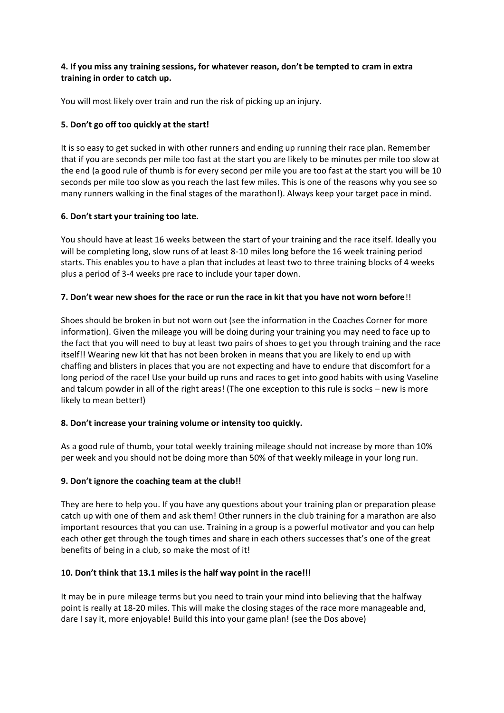# **4. If you miss any training sessions, for whatever reason, don't be tempted to cram in extra training in order to catch up.**

You will most likely over train and run the risk of picking up an injury.

# **5. Don't go off too quickly at the start!**

It is so easy to get sucked in with other runners and ending up running their race plan. Remember that if you are seconds per mile too fast at the start you are likely to be minutes per mile too slow at the end (a good rule of thumb is for every second per mile you are too fast at the start you will be 10 seconds per mile too slow as you reach the last few miles. This is one of the reasons why you see so many runners walking in the final stages of the marathon!). Always keep your target pace in mind.

# **6. Don't start your training too late.**

You should have at least 16 weeks between the start of your training and the race itself. Ideally you will be completing long, slow runs of at least 8-10 miles long before the 16 week training period starts. This enables you to have a plan that includes at least two to three training blocks of 4 weeks plus a period of 3-4 weeks pre race to include your taper down.

# **7. Don't wear new shoes for the race or run the race in kit that you have not worn before**!!

Shoes should be broken in but not worn out (see the information in the Coaches Corner for more information). Given the mileage you will be doing during your training you may need to face up to the fact that you will need to buy at least two pairs of shoes to get you through training and the race itself!! Wearing new kit that has not been broken in means that you are likely to end up with chaffing and blisters in places that you are not expecting and have to endure that discomfort for a long period of the race! Use your build up runs and races to get into good habits with using Vaseline and talcum powder in all of the right areas! (The one exception to this rule is socks – new is more likely to mean better!)

#### **8. Don't increase your training volume or intensity too quickly.**

As a good rule of thumb, your total weekly training mileage should not increase by more than 10% per week and you should not be doing more than 50% of that weekly mileage in your long run.

# **9. Don't ignore the coaching team at the club!!**

They are here to help you. If you have any questions about your training plan or preparation please catch up with one of them and ask them! Other runners in the club training for a marathon are also important resources that you can use. Training in a group is a powerful motivator and you can help each other get through the tough times and share in each others successes that's one of the great benefits of being in a club, so make the most of it!

#### **10. Don't think that 13.1 miles is the half way point in the race!!!**

It may be in pure mileage terms but you need to train your mind into believing that the halfway point is really at 18-20 miles. This will make the closing stages of the race more manageable and, dare I say it, more enjoyable! Build this into your game plan! (see the Dos above)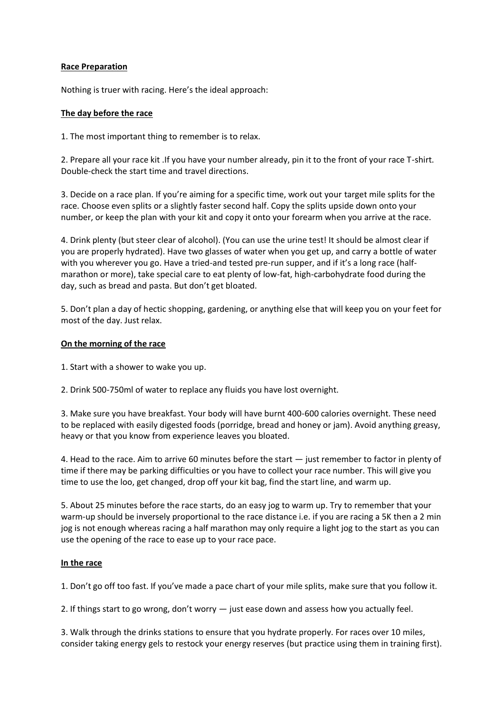## **[Race Preparation](http://www.fvspartans.org.uk/race-preparation/)**

Nothing is truer with racing. Here's the ideal approach:

## **The day before the race**

1. The most important thing to remember is to relax.

2. Prepare all your race kit .If you have your number already, pin it to the front of your race T-shirt. Double-check the start time and travel directions.

3. Decide on a race plan. If you're aiming for a specific time, work out your target mile splits for the race. Choose even splits or a slightly faster second half. Copy the splits upside down onto your number, or keep the plan with your kit and copy it onto your forearm when you arrive at the race.

4. Drink plenty (but steer clear of alcohol). (You can use the urine test! It should be almost clear if you are properly hydrated). Have two glasses of water when you get up, and carry a bottle of water with you wherever you go. Have a tried-and tested pre-run supper, and if it's a long race (halfmarathon or more), take special care to eat plenty of low-fat, high-carbohydrate food during the day, such as bread and pasta. But don't get bloated.

5. Don't plan a day of hectic shopping, gardening, or anything else that will keep you on your feet for most of the day. Just relax.

#### **On the morning of the race**

1. Start with a shower to wake you up.

2. Drink 500-750ml of water to replace any fluids you have lost overnight.

3. Make sure you have breakfast. Your body will have burnt 400-600 calories overnight. These need to be replaced with easily digested foods (porridge, bread and honey or jam). Avoid anything greasy, heavy or that you know from experience leaves you bloated.

4. Head to the race. Aim to arrive 60 minutes before the start — just remember to factor in plenty of time if there may be parking difficulties or you have to collect your race number. This will give you time to use the loo, get changed, drop off your kit bag, find the start line, and warm up.

5. About 25 minutes before the race starts, do an easy jog to warm up. Try to remember that your warm-up should be inversely proportional to the race distance i.e. if you are racing a 5K then a 2 min jog is not enough whereas racing a half marathon may only require a light jog to the start as you can use the opening of the race to ease up to your race pace.

#### **In the race**

1. Don't go off too fast. If you've made a pace chart of your mile splits, make sure that you follow it.

2. If things start to go wrong, don't worry — just ease down and assess how you actually feel.

3. Walk through the drinks stations to ensure that you hydrate properly. For races over 10 miles, consider taking energy gels to restock your energy reserves (but practice using them in training first).